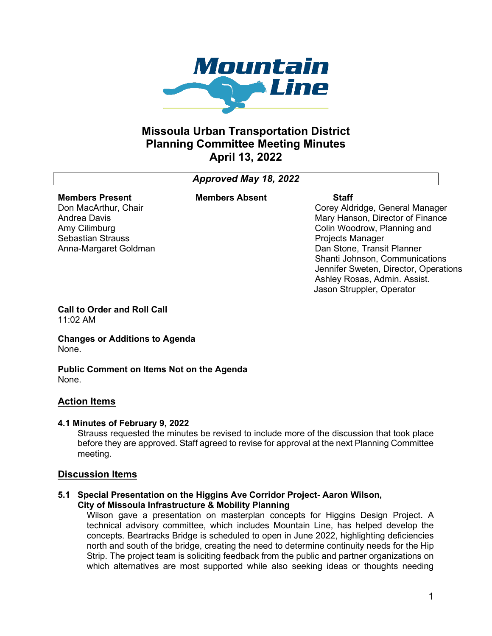

# **Missoula Urban Transportation District Planning Committee Meeting Minutes April 13, 2022**

# *Approved May 18, 2022*

#### **Members Present** Don MacArthur, Chair

Andrea Davis Amy Cilimburg Sebastian Strauss **Members Absent**

**Staff** Corey Aldridge, General Manager Mary Hanson, Director of Finance Colin Woodrow, Planning and Projects Manager Dan Stone, Transit Planner Shanti Johnson, Communications Jennifer Sweten, Director, Operations Ashley Rosas, Admin. Assist. Jason Struppler, Operator

**Call to Order and Roll Call** 11:02 AM

Anna-Margaret Goldman

**Changes or Additions to Agenda** None.

**Public Comment on Items Not on the Agenda** None.

## **Action Items**

### **4.1 Minutes of February 9, 2022**

Strauss requested the minutes be revised to include more of the discussion that took place before they are approved. Staff agreed to revise for approval at the next Planning Committee meeting.

### **Discussion Items**

#### **5.1 Special Presentation on the Higgins Ave Corridor Project- Aaron Wilson, City of Missoula Infrastructure & Mobility Planning**

Wilson gave a presentation on masterplan concepts for Higgins Design Project. A technical advisory committee, which includes Mountain Line, has helped develop the concepts. Beartracks Bridge is scheduled to open in June 2022, highlighting deficiencies north and south of the bridge, creating the need to determine continuity needs for the Hip Strip. The project team is soliciting feedback from the public and partner organizations on which alternatives are most supported while also seeking ideas or thoughts needing